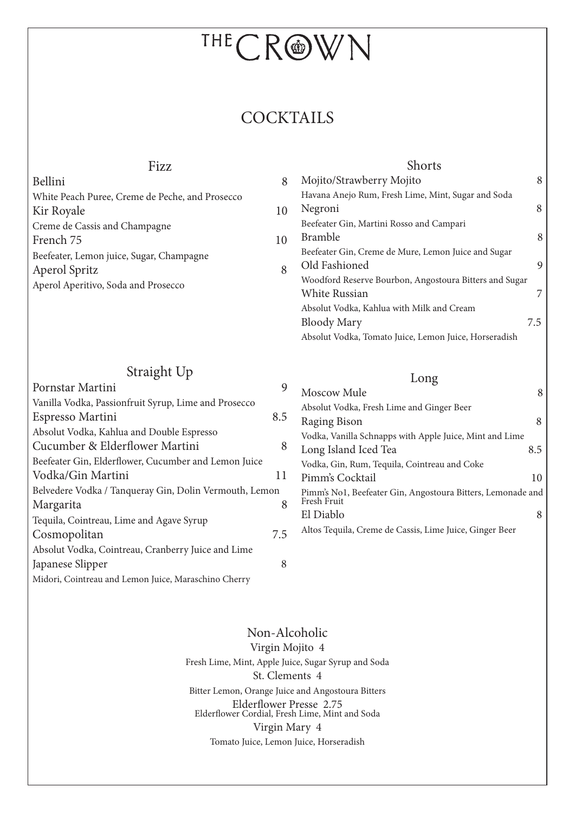# THECROWN

# **COCKTAILS**

## Fizz

| Bellini                                         | 8  | Mojito/Strawberry Mojito                               |     |
|-------------------------------------------------|----|--------------------------------------------------------|-----|
| White Peach Puree, Creme de Peche, and Prosecco |    | Havana Anejo Rum, Fresh Lime, Mint, Sugar and Soda     |     |
| Kir Royale                                      | 10 | Negroni                                                | 8   |
| Creme de Cassis and Champagne                   |    | Beefeater Gin, Martini Rosso and Campari               |     |
| French 75                                       | 10 | <b>Bramble</b>                                         | 8   |
| Beefeater, Lemon juice, Sugar, Champagne        |    | Beefeater Gin, Creme de Mure, Lemon Juice and Sugar    |     |
| Aperol Spritz                                   | 8  | Old Fashioned                                          | 9   |
| Aperol Aperitivo, Soda and Prosecco             |    | Woodford Reserve Bourbon, Angostoura Bitters and Sugar |     |
|                                                 |    | <b>White Russian</b>                                   | 7   |
|                                                 |    | Absolut Vodka, Kahlua with Milk and Cream              |     |
|                                                 |    | <b>Bloody Mary</b>                                     | 7.5 |

# Straight Up

| Pornstar Martini                                       | 9   | Moscow Mule                                                 | 8   |
|--------------------------------------------------------|-----|-------------------------------------------------------------|-----|
| Vanilla Vodka, Passionfruit Syrup, Lime and Prosecco   |     | Absolut Vodka, Fresh Lime and Ginger Beer                   |     |
| Espresso Martini                                       | 8.5 | Raging Bison                                                | 8   |
| Absolut Vodka, Kahlua and Double Espresso              |     | Vodka, Vanilla Schnapps with Apple Juice, Mint and Lime     |     |
| Cucumber & Elderflower Martini                         | 8   | Long Island Iced Tea                                        | 8.5 |
| Beefeater Gin, Elderflower, Cucumber and Lemon Juice   |     | Vodka, Gin, Rum, Tequila, Cointreau and Coke                |     |
| Vodka/Gin Martini                                      | 11  | Pimm's Cocktail                                             | 10  |
| Belvedere Vodka / Tanqueray Gin, Dolin Vermouth, Lemon |     | Pimm's No1, Beefeater Gin, Angostoura Bitters, Lemonade and |     |
| Margarita                                              | 8   | Fresh Fruit                                                 |     |
| Tequila, Cointreau, Lime and Agave Syrup               |     | El Diablo                                                   | 8   |
| Cosmopolitan                                           | 7.5 | Altos Tequila, Creme de Cassis, Lime Juice, Ginger Beer     |     |
| Absolut Vodka, Cointreau, Cranberry Juice and Lime     |     |                                                             |     |
| Japanese Slipper                                       | 8   |                                                             |     |
| Midori, Cointreau and Lemon Juice, Maraschino Cherry   |     |                                                             |     |

#### Non-Alcoholic

Virgin Mojito 4 Fresh Lime, Mint, Apple Juice, Sugar Syrup and Soda St. Clements 4 Bitter Lemon, Orange Juice and Angostoura Bitters Elderflower Presse 2.75 Elderflower Cordial, Fresh Lime, Mint and Soda Virgin Mary 4 Tomato Juice, Lemon Juice, Horseradish

### Long

Absolut Vodka, Tomato Juice, Lemon Juice, Horseradish

Shorts